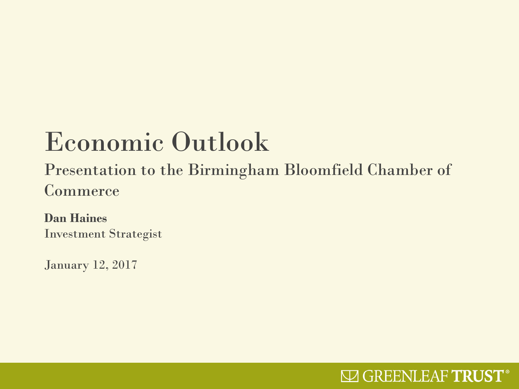# Economic Outlook

## Presentation to the Birmingham Bloomfield Chamber of **Commerce**

**Dan Haines** Investment Strategist

January 12, 2017

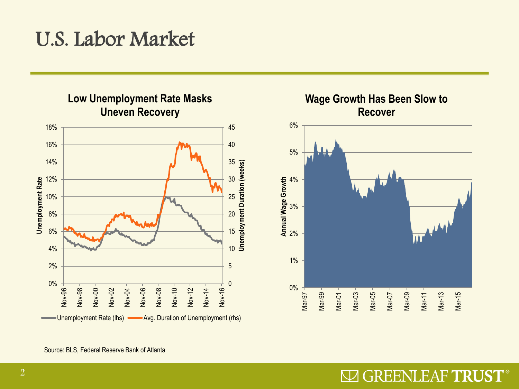## U.S. Labor Market





Source: BLS, Federal Reserve Bank of Atlanta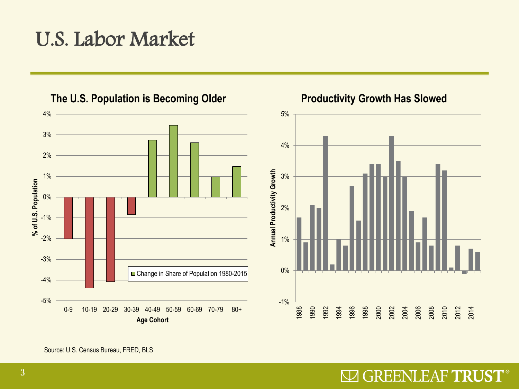## U.S. Labor Market



#### **The U.S. Population is Becoming Older**

Source: U.S. Census Bureau, FRED, BLS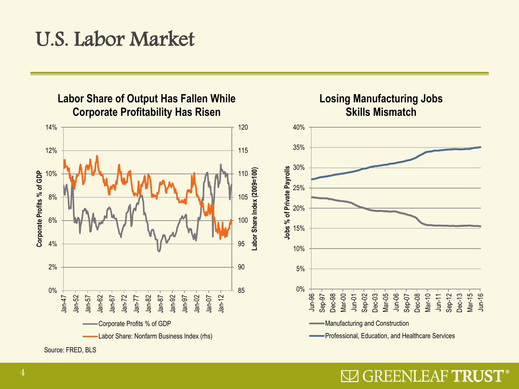## U.S. Labor Market

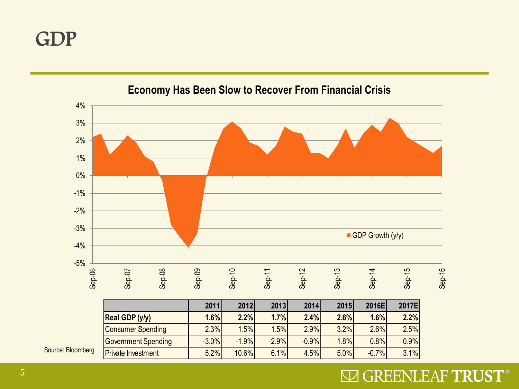GDP



Source: Bloomberg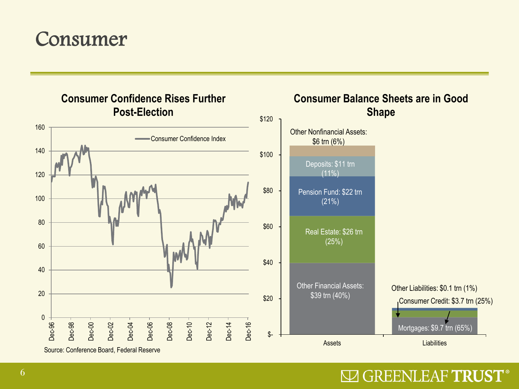## Consumer

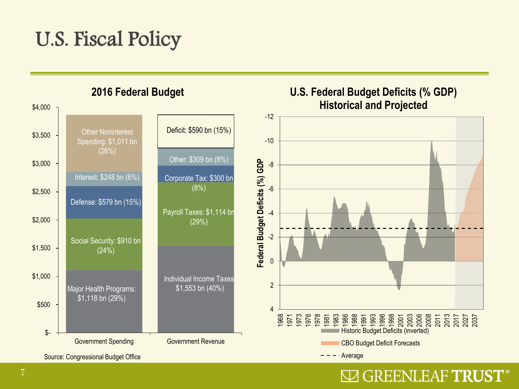## U.S. Fiscal Policy

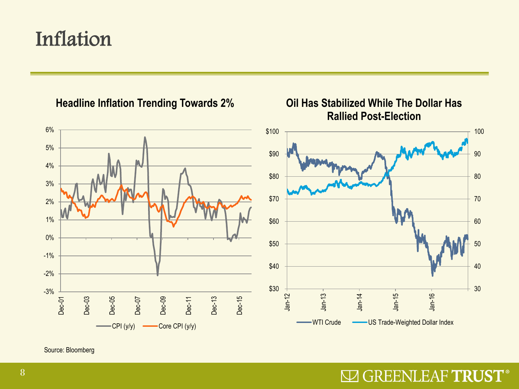## Inflation



**Headline Inflation Trending Towards 2%**

Source: Bloomberg

**Oil Has Stabilized While The Dollar Has**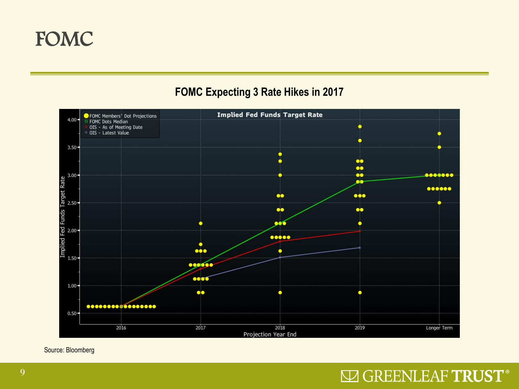

#### **FOMC Expecting 3 Rate Hikes in 2017**



Source: Bloomberg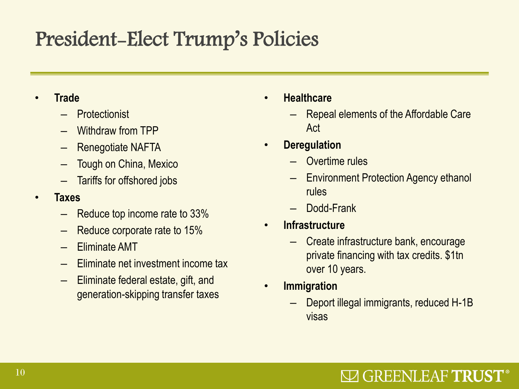# President-Elect Trump's Policies

- **Trade**
	- Protectionist
	- Withdraw from TPP
	- Renegotiate NAFTA
	- Tough on China, Mexico
	- Tariffs for offshored jobs
- **Taxes**
	- Reduce top income rate to 33%
	- Reduce corporate rate to 15%
	- Eliminate AMT
	- Eliminate net investment income tax
	- Eliminate federal estate, gift, and generation-skipping transfer taxes
- **Healthcare**
	- Repeal elements of the Affordable Care Act
- **Deregulation**
	- Overtime rules
	- Environment Protection Agency ethanol rules
	- Dodd-Frank
- **Infrastructure**
	- Create infrastructure bank, encourage private financing with tax credits. \$1tn over 10 years.
- **Immigration**
	- Deport illegal immigrants, reduced H-1B visas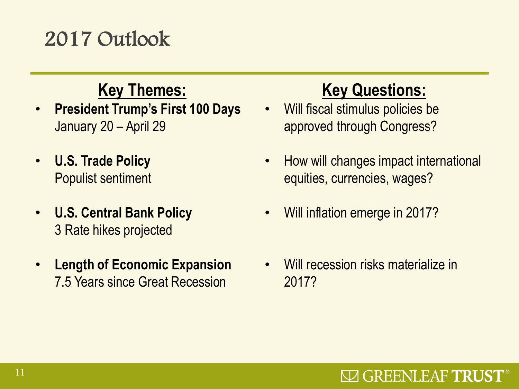# 2017 Outlook

## **Key Themes:**

- **President Trump's First 100 Days** January 20 – April 29
- **U.S. Trade Policy**  Populist sentiment
- **U.S. Central Bank Policy** 3 Rate hikes projected
- **Length of Economic Expansion** 7.5 Years since Great Recession

## **Key Questions:**

- Will fiscal stimulus policies be approved through Congress?
- How will changes impact international equities, currencies, wages?
- Will inflation emerge in 2017?
- Will recession risks materialize in 2017?

## $\square$  GREENLEAF **TRUST**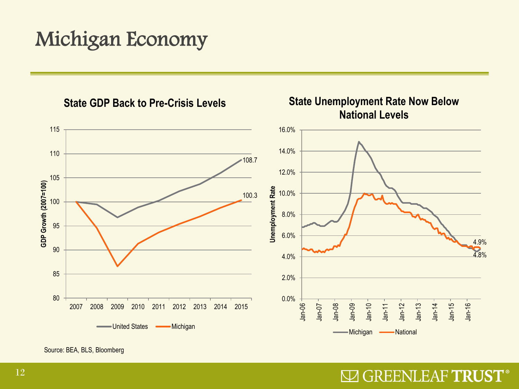# Michigan Economy



**State Unemployment Rate Now Below** 

Source: BEA, BLS, Bloomberg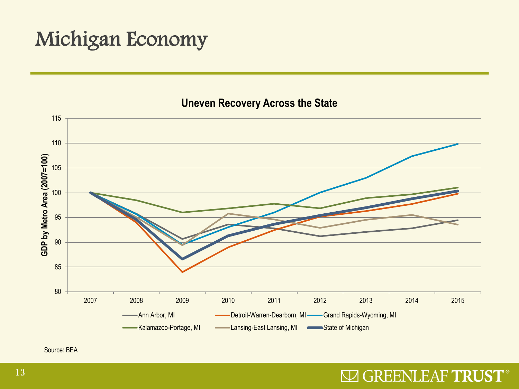# Michigan Economy



#### **Uneven Recovery Across the State**

Source: BEA

### **ED GREENLEAF TRUST**®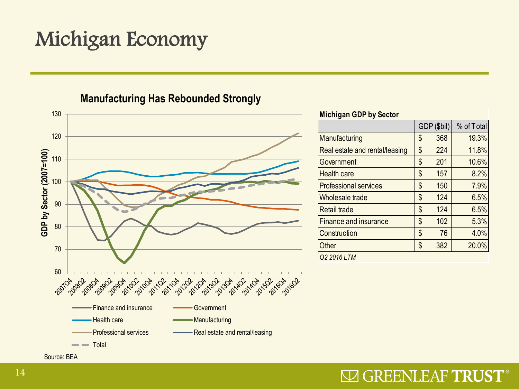# Michigan Economy

#### **Manufacturing Has Rebounded Strongly**



Source: BEA

#### **Michigan GDP by Sector**

|                                | GDP (\$bil) |     | % of Total |
|--------------------------------|-------------|-----|------------|
| Manufacturing                  | \$          | 368 | 19.3%      |
| Real estate and rental/leasing | \$          | 224 | 11.8%      |
| Government                     | \$          | 201 | 10.6%      |
| <b>Health care</b>             | \$          | 157 | 8.2%       |
| <b>Professional services</b>   | \$          | 150 | 7.9%       |
| Wholesale trade                | \$          | 124 | 6.5%       |
| <b>Retail trade</b>            | \$          | 124 | 6.5%       |
| <b>Finance and insurance</b>   | \$          | 102 | 5.3%       |
| Construction                   | \$          | 76  | 4.0%       |
| Other                          | \$          | 382 | 20.0%      |
| Q2 2016 LTM                    |             |     |            |